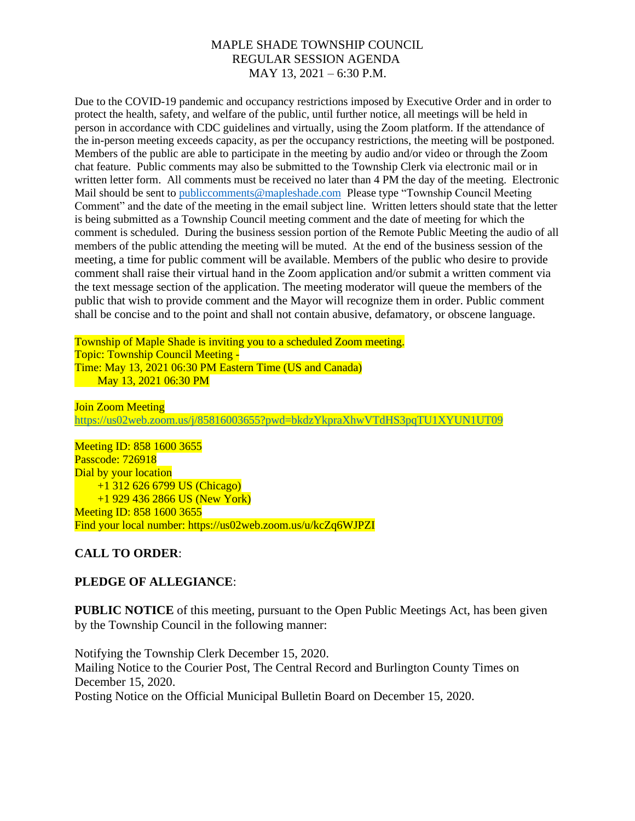Due to the COVID-19 pandemic and occupancy restrictions imposed by Executive Order and in order to protect the health, safety, and welfare of the public, until further notice, all meetings will be held in person in accordance with CDC guidelines and virtually, using the Zoom platform. If the attendance of the in-person meeting exceeds capacity, as per the occupancy restrictions, the meeting will be postponed. Members of the public are able to participate in the meeting by audio and/or video or through the Zoom chat feature. Public comments may also be submitted to the Township Clerk via electronic mail or in written letter form. All comments must be received no later than 4 PM the day of the meeting. Electronic Mail should be sent to [publiccomments@mapleshade.com](mailto:publiccomments@mapleshade.com) Please type "Township Council Meeting Comment" and the date of the meeting in the email subject line. Written letters should state that the letter is being submitted as a Township Council meeting comment and the date of meeting for which the comment is scheduled. During the business session portion of the Remote Public Meeting the audio of all members of the public attending the meeting will be muted. At the end of the business session of the meeting, a time for public comment will be available. Members of the public who desire to provide comment shall raise their virtual hand in the Zoom application and/or submit a written comment via the text message section of the application. The meeting moderator will queue the members of the public that wish to provide comment and the Mayor will recognize them in order. Public comment shall be concise and to the point and shall not contain abusive, defamatory, or obscene language.

Township of Maple Shade is inviting you to a scheduled Zoom meeting. Topic: Township Council Meeting - Time: May 13, 2021 06:30 PM Eastern Time (US and Canada) May 13, 2021 06:30 PM

Join Zoom Meeting <https://us02web.zoom.us/j/85816003655?pwd=bkdzYkpraXhwVTdHS3pqTU1XYUN1UT09>

Meeting ID: 858 1600 3655 Passcode: 726918 Dial by your location +1 312 626 6799 US (Chicago) +1 929 436 2866 US (New York) Meeting ID: 858 1600 3655 Find your local number: https://us02web.zoom.us/u/kcZq6WJPZI

# **CALL TO ORDER**:

# **PLEDGE OF ALLEGIANCE**:

**PUBLIC NOTICE** of this meeting, pursuant to the Open Public Meetings Act, has been given by the Township Council in the following manner:

Notifying the Township Clerk December 15, 2020. Mailing Notice to the Courier Post, The Central Record and Burlington County Times on December 15, 2020. Posting Notice on the Official Municipal Bulletin Board on December 15, 2020.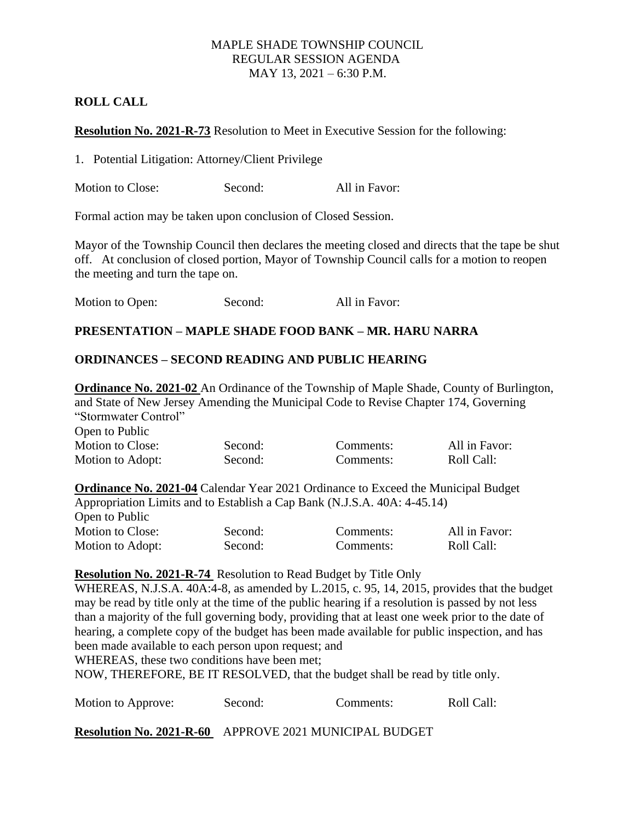# **ROLL CALL**

**Resolution No. 2021-R-73** Resolution to Meet in Executive Session for the following:

1. Potential Litigation: Attorney/Client Privilege

Motion to Close: Second: All in Favor:

Formal action may be taken upon conclusion of Closed Session.

Mayor of the Township Council then declares the meeting closed and directs that the tape be shut off. At conclusion of closed portion, Mayor of Township Council calls for a motion to reopen the meeting and turn the tape on.

| Motion to Open: | Second: | All in Favor: |
|-----------------|---------|---------------|
|-----------------|---------|---------------|

### **PRESENTATION – MAPLE SHADE FOOD BANK – MR. HARU NARRA**

### **ORDINANCES – SECOND READING AND PUBLIC HEARING**

**Ordinance No. 2021-02** An Ordinance of the Township of Maple Shade, County of Burlington, and State of New Jersey Amending the Municipal Code to Revise Chapter 174, Governing "Stormwater Control" Open to Public Motion to Close: Second: Comments: All in Favor:

| www.com          | $\cdots$ | Communico.                                                                               | 1 111 111 1 LL V V 71 1 |
|------------------|----------|------------------------------------------------------------------------------------------|-------------------------|
| Motion to Adopt: | Second:  | Comments:                                                                                | Roll Call:              |
|                  |          | <b>Ordinance No. 2021-04 Calendar Year 2021 Ordinance to Exceed the Municipal Budget</b> |                         |
|                  |          | Appropriation Limits and to Establish a Cap Bank (N.J.S.A. 40A: 4-45.14)                 |                         |

| Open to Public   |         |           |               |
|------------------|---------|-----------|---------------|
| Motion to Close: | Second: | Comments: | All in Favor: |
| Motion to Adopt: | Second: | Comments: | Roll Call:    |

### **Resolution No. 2021-R-74** Resolution to Read Budget by Title Only

WHEREAS, N.J.S.A. 40A:4-8, as amended by L.2015, c. 95, 14, 2015, provides that the budget may be read by title only at the time of the public hearing if a resolution is passed by not less than a majority of the full governing body, providing that at least one week prior to the date of hearing, a complete copy of the budget has been made available for public inspection, and has been made available to each person upon request; and

WHEREAS, these two conditions have been met;

NOW, THEREFORE, BE IT RESOLVED, that the budget shall be read by title only.

Motion to Approve: Second: Comments: Roll Call:

**Resolution No. 2021-R-60** APPROVE 2021 MUNICIPAL BUDGET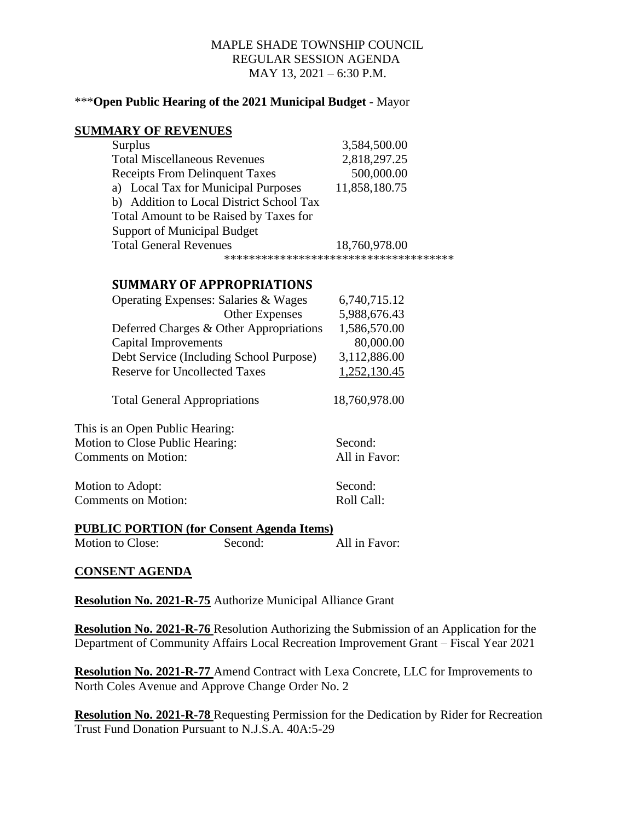#### \*\*\***Open Public Hearing of the 2021 Municipal Budget** - Mayor

#### **SUMMARY OF REVENUES**

| <b>Surplus</b>                           | 3,584,500.00                           |
|------------------------------------------|----------------------------------------|
| <b>Total Miscellaneous Revenues</b>      | 2,818,297.25                           |
| <b>Receipts From Delinquent Taxes</b>    | 500,000.00                             |
| a) Local Tax for Municipal Purposes      | 11,858,180.75                          |
| b) Addition to Local District School Tax |                                        |
| Total Amount to be Raised by Taxes for   |                                        |
| <b>Support of Municipal Budget</b>       |                                        |
| <b>Total General Revenues</b>            | 18,760,978.00                          |
|                                          | ************************************** |

### **SUMMARY OF APPROPRIATIONS**

| Operating Expenses: Salaries & Wages    | 6,740,715.12          |
|-----------------------------------------|-----------------------|
| Other Expenses                          | 5,988,676.43          |
| Deferred Charges & Other Appropriations | 1,586,570.00          |
| Capital Improvements                    | 80,000.00             |
| Debt Service (Including School Purpose) | 3,112,886.00          |
| Reserve for Uncollected Taxes           | 1,252,130.45          |
| <b>Total General Appropriations</b>     | 18,760,978.00         |
| This is an Open Public Hearing:         |                       |
| Motion to Close Public Hearing:         | Second:               |
| Comments on Motion:                     | All in Favor:         |
| Motion to Adopt:<br>Comments on Motion: | Second:<br>Roll Call: |
|                                         |                       |

#### **PUBLIC PORTION (for Consent Agenda Items)**

Motion to Close: Second: All in Favor:

### **CONSENT AGENDA**

**Resolution No. 2021-R-75** Authorize Municipal Alliance Grant

**Resolution No. 2021-R-76** Resolution Authorizing the Submission of an Application for the Department of Community Affairs Local Recreation Improvement Grant – Fiscal Year 2021

**Resolution No. 2021-R-77** Amend Contract with Lexa Concrete, LLC for Improvements to North Coles Avenue and Approve Change Order No. 2

**Resolution No. 2021-R-78** Requesting Permission for the Dedication by Rider for Recreation Trust Fund Donation Pursuant to N.J.S.A. 40A:5-29